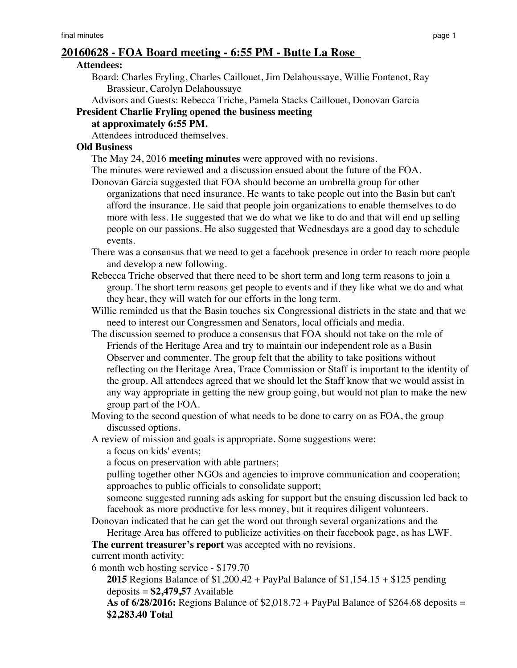# **20160628 - FOA Board meeting - 6:55 PM - Butte La Rose**

#### **Attendees:**

Board: Charles Fryling, Charles Caillouet, Jim Delahoussaye, Willie Fontenot, Ray Brassieur, Carolyn Delahoussaye

Advisors and Guests: Rebecca Triche, Pamela Stacks Caillouet, Donovan Garcia

## **President Charlie Fryling opened the business meeting**

# **at approximately 6:55 PM.**

Attendees introduced themselves.

# **Old Business**

The May 24, 2016 **meeting minutes** were approved with no revisions.

The minutes were reviewed and a discussion ensued about the future of the FOA.

- Donovan Garcia suggested that FOA should become an umbrella group for other organizations that need insurance. He wants to take people out into the Basin but can't afford the insurance. He said that people join organizations to enable themselves to do more with less. He suggested that we do what we like to do and that will end up selling people on our passions. He also suggested that Wednesdays are a good day to schedule events.
- There was a consensus that we need to get a facebook presence in order to reach more people and develop a new following.
- Rebecca Triche observed that there need to be short term and long term reasons to join a group. The short term reasons get people to events and if they like what we do and what they hear, they will watch for our efforts in the long term.
- Willie reminded us that the Basin touches six Congressional districts in the state and that we need to interest our Congressmen and Senators, local officials and media.
- The discussion seemed to produce a consensus that FOA should not take on the role of Friends of the Heritage Area and try to maintain our independent role as a Basin Observer and commenter. The group felt that the ability to take positions without reflecting on the Heritage Area, Trace Commission or Staff is important to the identity of the group. All attendees agreed that we should let the Staff know that we would assist in any way appropriate in getting the new group going, but would not plan to make the new group part of the FOA.
- Moving to the second question of what needs to be done to carry on as FOA, the group discussed options.

A review of mission and goals is appropriate. Some suggestions were:

a focus on kids' events;

a focus on preservation with able partners;

pulling together other NGOs and agencies to improve communication and cooperation; approaches to public officials to consolidate support;

someone suggested running ads asking for support but the ensuing discussion led back to facebook as more productive for less money, but it requires diligent volunteers.

Donovan indicated that he can get the word out through several organizations and the

Heritage Area has offered to publicize activities on their facebook page, as has LWF.

**The current treasurer's report** was accepted with no revisions.

current month activity:

6 month web hosting service - \$179.70

**2015** Regions Balance of \$1,200.42 + PayPal Balance of \$1,154.15 + \$125 pending deposits = **\$2,479,57** Available

**As of 6/28/2016:** Regions Balance of \$2,018.72 + PayPal Balance of \$264.68 deposits = **\$2,283.40 Total**